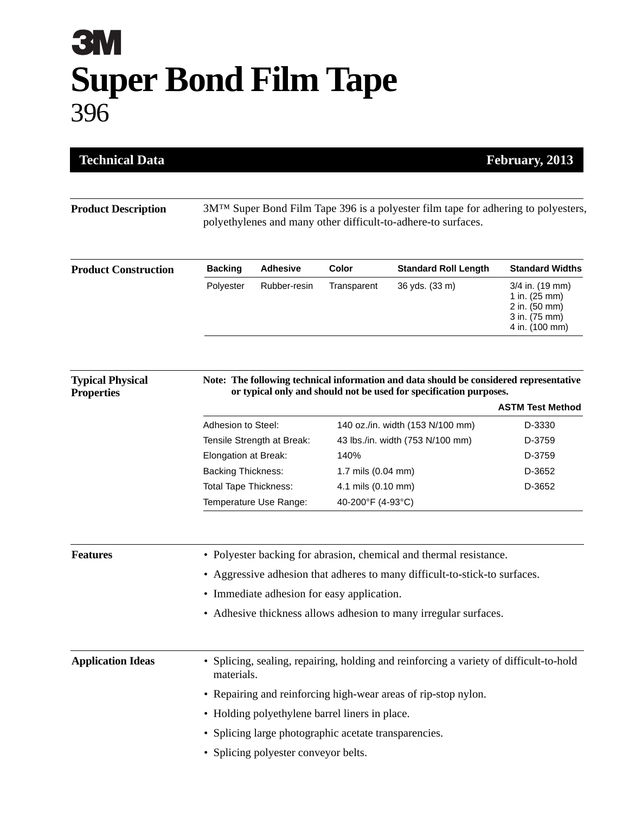## **3M Super Bond Film Tape** 396

| <b>Technical Data</b><br>February, 2013      |                                                                                                                                                                 |                        |                                                                      |                                                                                                                                                              |                                                                                      |  |
|----------------------------------------------|-----------------------------------------------------------------------------------------------------------------------------------------------------------------|------------------------|----------------------------------------------------------------------|--------------------------------------------------------------------------------------------------------------------------------------------------------------|--------------------------------------------------------------------------------------|--|
| <b>Product Description</b>                   | 3M <sup>TM</sup> Super Bond Film Tape 396 is a polyester film tape for adhering to polyesters,<br>polyethylenes and many other difficult-to-adhere-to surfaces. |                        |                                                                      |                                                                                                                                                              |                                                                                      |  |
| <b>Product Construction</b>                  | <b>Backing</b>                                                                                                                                                  | <b>Adhesive</b>        | <b>Color</b>                                                         | <b>Standard Roll Length</b>                                                                                                                                  | <b>Standard Widths</b>                                                               |  |
|                                              | Polyester                                                                                                                                                       | Rubber-resin           | Transparent                                                          | 36 yds. (33 m)                                                                                                                                               | 3/4 in. (19 mm)<br>1 in. (25 mm)<br>2 in. (50 mm)<br>3 in. (75 mm)<br>4 in. (100 mm) |  |
| <b>Typical Physical</b><br><b>Properties</b> |                                                                                                                                                                 |                        |                                                                      | Note: The following technical information and data should be considered representative<br>or typical only and should not be used for specification purposes. |                                                                                      |  |
|                                              |                                                                                                                                                                 |                        |                                                                      |                                                                                                                                                              | <b>ASTM Test Method</b><br>D-3330                                                    |  |
|                                              | Adhesion to Steel:                                                                                                                                              |                        | 140 oz./in. width (153 N/100 mm)<br>43 lbs./in. width (753 N/100 mm) |                                                                                                                                                              | D-3759                                                                               |  |
|                                              | Tensile Strength at Break:<br>Elongation at Break:                                                                                                              |                        | 140%                                                                 |                                                                                                                                                              | D-3759                                                                               |  |
|                                              | <b>Backing Thickness:</b>                                                                                                                                       |                        | 1.7 mils (0.04 mm)                                                   |                                                                                                                                                              | D-3652                                                                               |  |
|                                              | <b>Total Tape Thickness:</b>                                                                                                                                    |                        | 4.1 mils (0.10 mm)                                                   |                                                                                                                                                              | D-3652                                                                               |  |
|                                              |                                                                                                                                                                 | Temperature Use Range: | 40-200°F (4-93°C)                                                    |                                                                                                                                                              |                                                                                      |  |
| <b>Features</b>                              | • Polyester backing for abrasion, chemical and thermal resistance.                                                                                              |                        |                                                                      |                                                                                                                                                              |                                                                                      |  |
|                                              | Aggressive adhesion that adheres to many difficult-to-stick-to surfaces.                                                                                        |                        |                                                                      |                                                                                                                                                              |                                                                                      |  |
|                                              | • Immediate adhesion for easy application.                                                                                                                      |                        |                                                                      |                                                                                                                                                              |                                                                                      |  |
|                                              | • Adhesive thickness allows adhesion to many irregular surfaces.                                                                                                |                        |                                                                      |                                                                                                                                                              |                                                                                      |  |
| <b>Application Ideas</b>                     | • Splicing, sealing, repairing, holding and reinforcing a variety of difficult-to-hold<br>materials.                                                            |                        |                                                                      |                                                                                                                                                              |                                                                                      |  |
|                                              | • Repairing and reinforcing high-wear areas of rip-stop nylon.                                                                                                  |                        |                                                                      |                                                                                                                                                              |                                                                                      |  |
|                                              | • Holding polyethylene barrel liners in place.                                                                                                                  |                        |                                                                      |                                                                                                                                                              |                                                                                      |  |
|                                              | • Splicing large photographic acetate transparencies.                                                                                                           |                        |                                                                      |                                                                                                                                                              |                                                                                      |  |
|                                              | • Splicing polyester conveyor belts.                                                                                                                            |                        |                                                                      |                                                                                                                                                              |                                                                                      |  |
|                                              |                                                                                                                                                                 |                        |                                                                      |                                                                                                                                                              |                                                                                      |  |